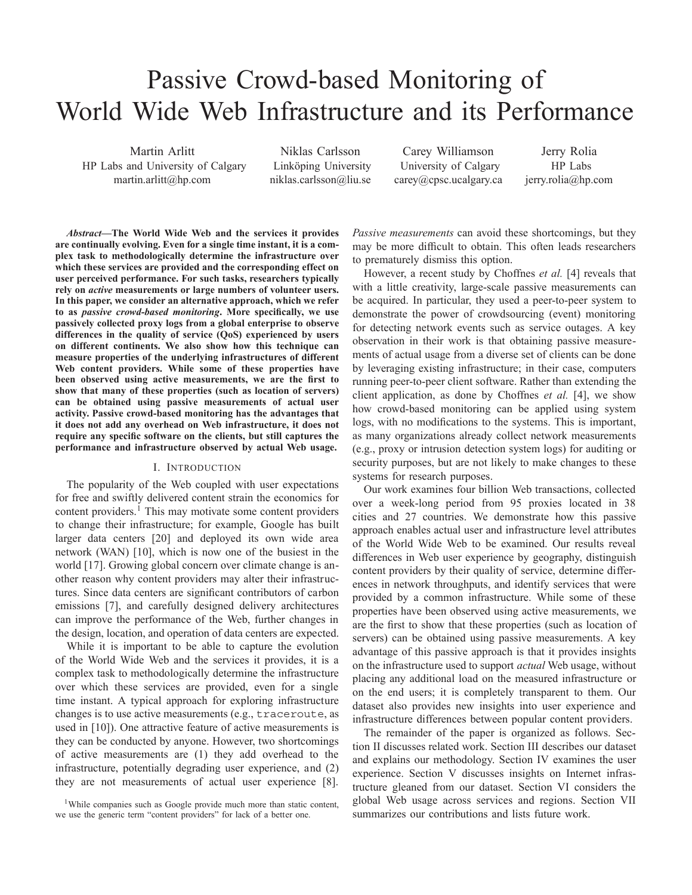# Passive Crowd-based Monitoring of World Wide Web Infrastructure and its Performance

Martin Arlitt HP Labs and University of Calgary martin.arlitt@hp.com

Niklas Carlsson Linköping University niklas.carlsson@liu.se

Carey Williamson University of Calgary carey@cpsc.ucalgary.ca

Jerry Rolia HP Labs jerry.rolia@hp.com

*Abstract***—The World Wide Web and the services it provides are continually evolving. Even for a single time instant, it is a complex task to methodologically determine the infrastructure over which these services are provided and the corresponding effect on user perceived performance. For such tasks, researchers typically rely on** *active* **measurements or large numbers of volunteer users. In this paper, we consider an alternative approach, which we refer to as** *passive crowd-based monitoring***. More specifically, we use passively collected proxy logs from a global enterprise to observe differences in the quality of service (QoS) experienced by users on different continents. We also show how this technique can measure properties of the underlying infrastructures of different Web content providers. While some of these properties have been observed using active measurements, we are the first to show that many of these properties (such as location of servers) can be obtained using passive measurements of actual user activity. Passive crowd-based monitoring has the advantages that it does not add any overhead on Web infrastructure, it does not require any specific software on the clients, but still captures the performance and infrastructure observed by actual Web usage.**

## I. INTRODUCTION

The popularity of the Web coupled with user expectations for free and swiftly delivered content strain the economics for content providers.<sup>1</sup> This may motivate some content providers to change their infrastructure; for example, Google has built larger data centers [20] and deployed its own wide area network (WAN) [10], which is now one of the busiest in the world [17]. Growing global concern over climate change is another reason why content providers may alter their infrastructures. Since data centers are significant contributors of carbon emissions [7], and carefully designed delivery architectures can improve the performance of the Web, further changes in the design, location, and operation of data centers are expected.

While it is important to be able to capture the evolution of the World Wide Web and the services it provides, it is a complex task to methodologically determine the infrastructure over which these services are provided, even for a single time instant. A typical approach for exploring infrastructure changes is to use active measurements (e.g., traceroute, as used in [10]). One attractive feature of active measurements is they can be conducted by anyone. However, two shortcomings of active measurements are (1) they add overhead to the infrastructure, potentially degrading user experience, and (2) they are not measurements of actual user experience [8].

*Passive measurements* can avoid these shortcomings, but they may be more difficult to obtain. This often leads researchers to prematurely dismiss this option.

However, a recent study by Choffnes *et al.* [4] reveals that with a little creativity, large-scale passive measurements can be acquired. In particular, they used a peer-to-peer system to demonstrate the power of crowdsourcing (event) monitoring for detecting network events such as service outages. A key observation in their work is that obtaining passive measurements of actual usage from a diverse set of clients can be done by leveraging existing infrastructure; in their case, computers running peer-to-peer client software. Rather than extending the client application, as done by Choffnes *et al.* [4], we show how crowd-based monitoring can be applied using system logs, with no modifications to the systems. This is important, as many organizations already collect network measurements (e.g., proxy or intrusion detection system logs) for auditing or security purposes, but are not likely to make changes to these systems for research purposes.

Our work examines four billion Web transactions, collected over a week-long period from 95 proxies located in 38 cities and 27 countries. We demonstrate how this passive approach enables actual user and infrastructure level attributes of the World Wide Web to be examined. Our results reveal differences in Web user experience by geography, distinguish content providers by their quality of service, determine differences in network throughputs, and identify services that were provided by a common infrastructure. While some of these properties have been observed using active measurements, we are the first to show that these properties (such as location of servers) can be obtained using passive measurements. A key advantage of this passive approach is that it provides insights on the infrastructure used to support *actual* Web usage, without placing any additional load on the measured infrastructure or on the end users; it is completely transparent to them. Our dataset also provides new insights into user experience and infrastructure differences between popular content providers.

The remainder of the paper is organized as follows. Section II discusses related work. Section III describes our dataset and explains our methodology. Section IV examines the user experience. Section V discusses insights on Internet infrastructure gleaned from our dataset. Section VI considers the global Web usage across services and regions. Section VII summarizes our contributions and lists future work.

<sup>&</sup>lt;sup>1</sup>While companies such as Google provide much more than static content, we use the generic term "content providers" for lack of a better one.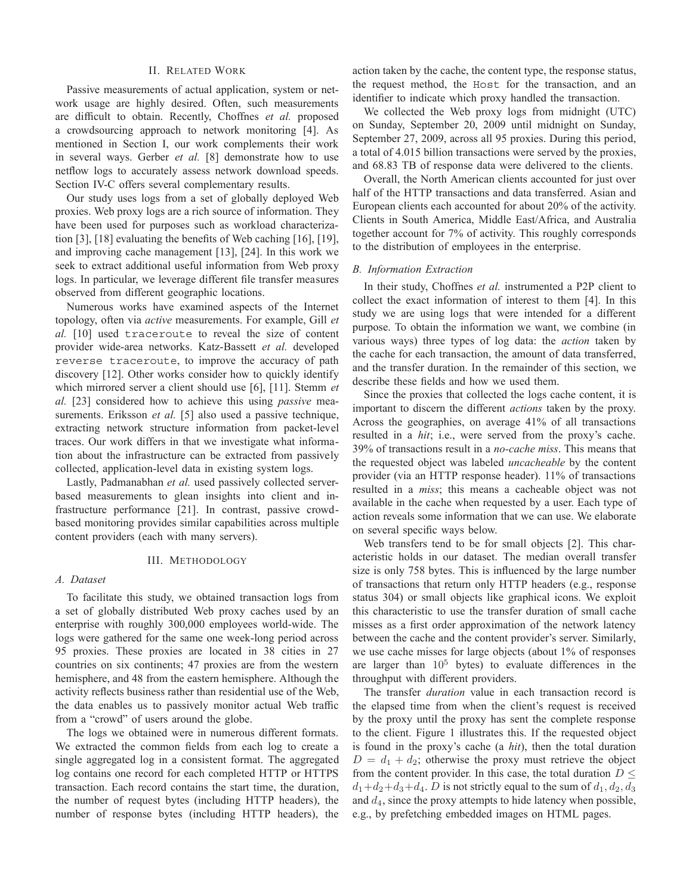#### II. RELATED WORK

Passive measurements of actual application, system or network usage are highly desired. Often, such measurements are difficult to obtain. Recently, Choffnes *et al.* proposed a crowdsourcing approach to network monitoring [4]. As mentioned in Section I, our work complements their work in several ways. Gerber *et al.* [8] demonstrate how to use netflow logs to accurately assess network download speeds. Section IV-C offers several complementary results.

Our study uses logs from a set of globally deployed Web proxies. Web proxy logs are a rich source of information. They have been used for purposes such as workload characterization [3], [18] evaluating the benefits of Web caching [16], [19], and improving cache management [13], [24]. In this work we seek to extract additional useful information from Web proxy logs. In particular, we leverage different file transfer measures observed from different geographic locations.

Numerous works have examined aspects of the Internet topology, often via *active* measurements. For example, Gill *et al.* [10] used traceroute to reveal the size of content provider wide-area networks. Katz-Bassett *et al.* developed reverse traceroute, to improve the accuracy of path discovery [12]. Other works consider how to quickly identify which mirrored server a client should use [6], [11]. Stemm *et al.* [23] considered how to achieve this using *passive* measurements. Eriksson *et al.* [5] also used a passive technique, extracting network structure information from packet-level traces. Our work differs in that we investigate what information about the infrastructure can be extracted from passively collected, application-level data in existing system logs.

Lastly, Padmanabhan *et al.* used passively collected serverbased measurements to glean insights into client and infrastructure performance [21]. In contrast, passive crowdbased monitoring provides similar capabilities across multiple content providers (each with many servers).

## III. METHODOLOGY

# *A. Dataset*

To facilitate this study, we obtained transaction logs from a set of globally distributed Web proxy caches used by an enterprise with roughly 300,000 employees world-wide. The logs were gathered for the same one week-long period across 95 proxies. These proxies are located in 38 cities in 27 countries on six continents; 47 proxies are from the western hemisphere, and 48 from the eastern hemisphere. Although the activity reflects business rather than residential use of the Web, the data enables us to passively monitor actual Web traffic from a "crowd" of users around the globe.

The logs we obtained were in numerous different formats. We extracted the common fields from each log to create a single aggregated log in a consistent format. The aggregated log contains one record for each completed HTTP or HTTPS transaction. Each record contains the start time, the duration, the number of request bytes (including HTTP headers), the number of response bytes (including HTTP headers), the action taken by the cache, the content type, the response status, the request method, the Host for the transaction, and an identifier to indicate which proxy handled the transaction.

We collected the Web proxy logs from midnight (UTC) on Sunday, September 20, 2009 until midnight on Sunday, September 27, 2009, across all 95 proxies. During this period, a total of 4.015 billion transactions were served by the proxies, and 68.83 TB of response data were delivered to the clients.

Overall, the North American clients accounted for just over half of the HTTP transactions and data transferred. Asian and European clients each accounted for about 20% of the activity. Clients in South America, Middle East/Africa, and Australia together account for 7% of activity. This roughly corresponds to the distribution of employees in the enterprise.

## *B. Information Extraction*

In their study, Choffnes *et al.* instrumented a P2P client to collect the exact information of interest to them [4]. In this study we are using logs that were intended for a different purpose. To obtain the information we want, we combine (in various ways) three types of log data: the *action* taken by the cache for each transaction, the amount of data transferred, and the transfer duration. In the remainder of this section, we describe these fields and how we used them.

Since the proxies that collected the logs cache content, it is important to discern the different *actions* taken by the proxy. Across the geographies, on average 41% of all transactions resulted in a *hit*; i.e., were served from the proxy's cache. 39% of transactions result in a *no-cache miss*. This means that the requested object was labeled *uncacheable* by the content provider (via an HTTP response header). 11% of transactions resulted in a *miss*; this means a cacheable object was not available in the cache when requested by a user. Each type of action reveals some information that we can use. We elaborate on several specific ways below.

Web transfers tend to be for small objects [2]. This characteristic holds in our dataset. The median overall transfer size is only 758 bytes. This is influenced by the large number of transactions that return only HTTP headers (e.g., response status 304) or small objects like graphical icons. We exploit this characteristic to use the transfer duration of small cache misses as a first order approximation of the network latency between the cache and the content provider's server. Similarly, we use cache misses for large objects (about 1% of responses are larger than  $10<sup>5</sup>$  bytes) to evaluate differences in the throughput with different providers.

The transfer *duration* value in each transaction record is the elapsed time from when the client's request is received by the proxy until the proxy has sent the complete response to the client. Figure 1 illustrates this. If the requested object is found in the proxy's cache (a *hit*), then the total duration  $D = d_1 + d_2$ ; otherwise the proxy must retrieve the object from the content provider. In this case, the total duration  $D \leq$  $d_1+d_2+d_3+d_4$ . D is not strictly equal to the sum of  $d_1, d_2, d_3$ and  $d_4$ , since the proxy attempts to hide latency when possible, e.g., by prefetching embedded images on HTML pages.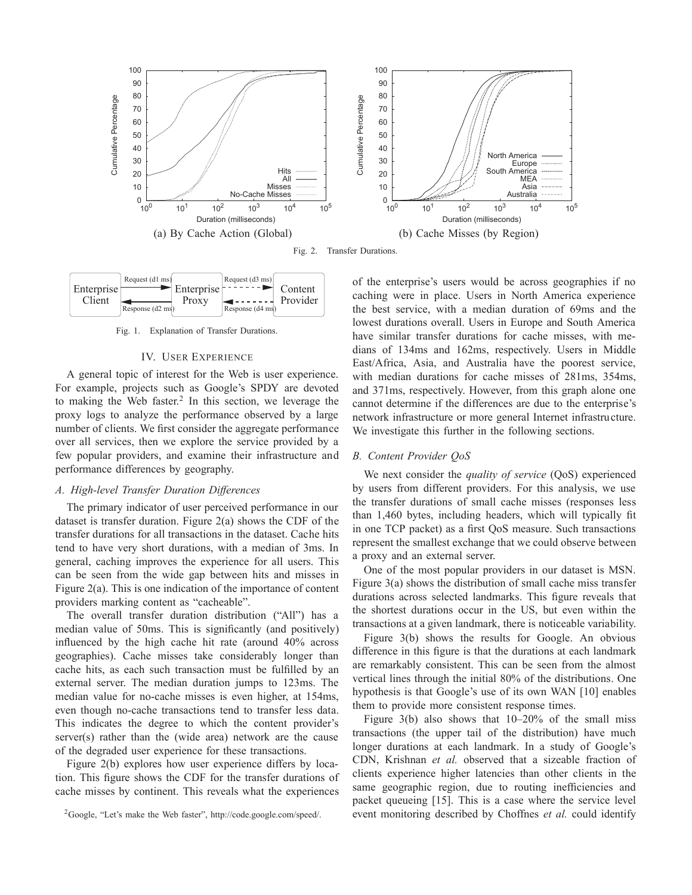

Fig. 2. Transfer Durations.



Fig. 1. Explanation of Transfer Durations.

## IV. USER EXPERIENCE

A general topic of interest for the Web is user experience. For example, projects such as Google's SPDY are devoted to making the Web faster.<sup>2</sup> In this section, we leverage the proxy logs to analyze the performance observed by a large number of clients. We first consider the aggregate performance over all services, then we explore the service provided by a few popular providers, and examine their infrastructure and performance differences by geography.

## *A. High-level Transfer Duration Differences*

The primary indicator of user perceived performance in our dataset is transfer duration. Figure 2(a) shows the CDF of the transfer durations for all transactions in the dataset. Cache hits tend to have very short durations, with a median of 3ms. In general, caching improves the experience for all users. This can be seen from the wide gap between hits and misses in Figure 2(a). This is one indication of the importance of content providers marking content as "cacheable".

The overall transfer duration distribution ("All") has a median value of 50ms. This is significantly (and positively) influenced by the high cache hit rate (around 40% across geographies). Cache misses take considerably longer than cache hits, as each such transaction must be fulfilled by an external server. The median duration jumps to 123ms. The median value for no-cache misses is even higher, at 154ms, even though no-cache transactions tend to transfer less data. This indicates the degree to which the content provider's server(s) rather than the (wide area) network are the cause of the degraded user experience for these transactions.

Figure 2(b) explores how user experience differs by location. This figure shows the CDF for the transfer durations of cache misses by continent. This reveals what the experiences of the enterprise's users would be across geographies if no caching were in place. Users in North America experience the best service, with a median duration of 69ms and the lowest durations overall. Users in Europe and South America have similar transfer durations for cache misses, with medians of 134ms and 162ms, respectively. Users in Middle East/Africa, Asia, and Australia have the poorest service, with median durations for cache misses of 281ms, 354ms, and 371ms, respectively. However, from this graph alone one cannot determine if the differences are due to the enterprise's network infrastructure or more general Internet infrastructure. We investigate this further in the following sections.

#### *B. Content Provider QoS*

We next consider the *quality of service* (QoS) experienced by users from different providers. For this analysis, we use the transfer durations of small cache misses (responses less than 1,460 bytes, including headers, which will typically fit in one TCP packet) as a first QoS measure. Such transactions represent the smallest exchange that we could observe between a proxy and an external server.

One of the most popular providers in our dataset is MSN. Figure 3(a) shows the distribution of small cache miss transfer durations across selected landmarks. This figure reveals that the shortest durations occur in the US, but even within the transactions at a given landmark, there is noticeable variability.

Figure 3(b) shows the results for Google. An obvious difference in this figure is that the durations at each landmark are remarkably consistent. This can be seen from the almost vertical lines through the initial 80% of the distributions. One hypothesis is that Google's use of its own WAN [10] enables them to provide more consistent response times.

Figure  $3(b)$  also shows that  $10-20\%$  of the small miss transactions (the upper tail of the distribution) have much longer durations at each landmark. In a study of Google's CDN, Krishnan *et al.* observed that a sizeable fraction of clients experience higher latencies than other clients in the same geographic region, due to routing inefficiencies and packet queueing [15]. This is a case where the service level event monitoring described by Choffnes *et al.* could identify

<sup>2</sup>Google, "Let's make the Web faster", http://code.google.com/speed/.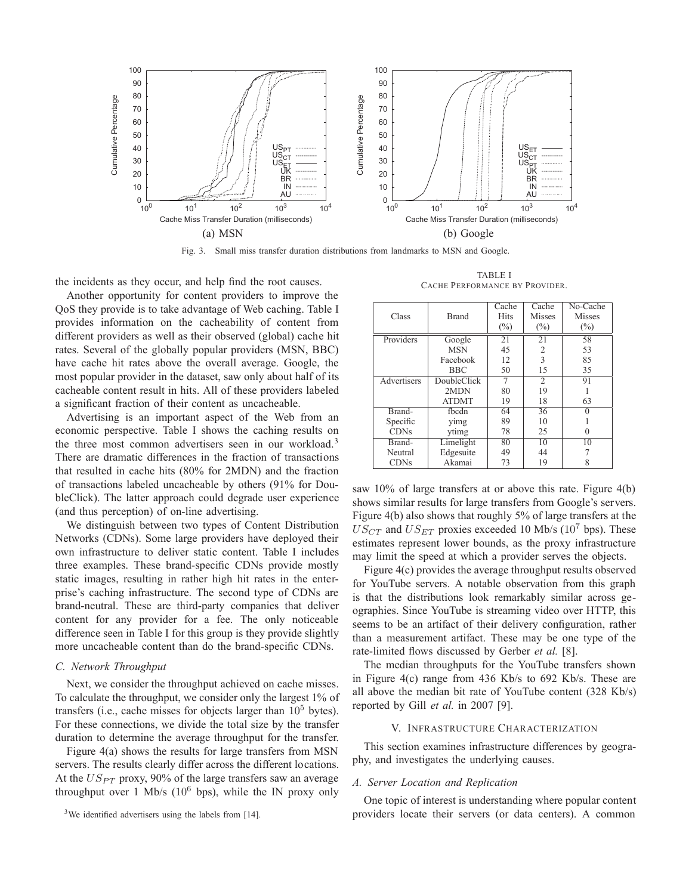

Fig. 3. Small miss transfer duration distributions from landmarks to MSN and Google.

the incidents as they occur, and help find the root causes.

Another opportunity for content providers to improve the QoS they provide is to take advantage of Web caching. Table I provides information on the cacheability of content from different providers as well as their observed (global) cache hit rates. Several of the globally popular providers (MSN, BBC) have cache hit rates above the overall average. Google, the most popular provider in the dataset, saw only about half of its cacheable content result in hits. All of these providers labeled a significant fraction of their content as uncacheable.

Advertising is an important aspect of the Web from an economic perspective. Table I shows the caching results on the three most common advertisers seen in our workload.<sup>3</sup> There are dramatic differences in the fraction of transactions that resulted in cache hits (80% for 2MDN) and the fraction of transactions labeled uncacheable by others (91% for DoubleClick). The latter approach could degrade user experience (and thus perception) of on-line advertising.

We distinguish between two types of Content Distribution Networks (CDNs). Some large providers have deployed their own infrastructure to deliver static content. Table I includes three examples. These brand-specific CDNs provide mostly static images, resulting in rather high hit rates in the enterprise's caching infrastructure. The second type of CDNs are brand-neutral. These are third-party companies that deliver content for any provider for a fee. The only noticeable difference seen in Table I for this group is they provide slightly more uncacheable content than do the brand-specific CDNs.

#### *C. Network Throughput*

Next, we consider the throughput achieved on cache misses. To calculate the throughput, we consider only the largest 1% of transfers (i.e., cache misses for objects larger than  $10<sup>5</sup>$  bytes). For these connections, we divide the total size by the transfer duration to determine the average throughput for the transfer.

Figure 4(a) shows the results for large transfers from MSN servers. The results clearly differ across the different locations. At the  $US_{PT}$  proxy, 90% of the large transfers saw an average throughput over 1 Mb/s  $(10^6$  bps), while the IN proxy only

TABLE I CACHE PERFORMANCE BY PROVIDER.

|             |                    | Cache       | Cache          | No-Cache      |
|-------------|--------------------|-------------|----------------|---------------|
| Class       | <b>Brand</b>       | <b>Hits</b> | Misses         | <b>Misses</b> |
|             |                    | $(\%)$      | $(\%)$         | $(\%)$        |
| Providers   | Google             | 21          | 21             | 58            |
|             | <b>MSN</b>         | 45          | $\overline{c}$ | 53            |
|             | Facebook           | 12          | 3              | 85            |
|             | <b>BBC</b>         | 50          | 15             | 35            |
| Advertisers | <b>DoubleClick</b> |             | 2              | 91            |
|             | 2MDN               | 80          | 19             |               |
|             | <b>ATDMT</b>       | 19          | 18             | 63            |
| Brand-      | fbcdn              | 64          | 36             |               |
| Specific    | yimg               | 89          | 10             |               |
| <b>CDNs</b> | ytimg              | 78          | 25             |               |
| Brand-      | Limelight          | 80          | 10             | 10            |
| Neutral     | Edgesuite          | 49          | 44             |               |
| <b>CDNs</b> | Akamai             | 73          | 19             |               |

saw 10% of large transfers at or above this rate. Figure 4(b) shows similar results for large transfers from Google's servers. Figure 4(b) also shows that roughly 5% of large transfers at the  $US_{CT}$  and  $US_{ET}$  proxies exceeded 10 Mb/s (10<sup>7</sup> bps). These estimates represent lower bounds, as the proxy infrastructure may limit the speed at which a provider serves the objects.

Figure 4(c) provides the average throughput results observed for YouTube servers. A notable observation from this graph is that the distributions look remarkably similar across geographies. Since YouTube is streaming video over HTTP, this seems to be an artifact of their delivery configuration, rather than a measurement artifact. These may be one type of the rate-limited flows discussed by Gerber *et al.* [8].

The median throughputs for the YouTube transfers shown in Figure 4(c) range from 436 Kb/s to 692 Kb/s. These are all above the median bit rate of YouTube content (328 Kb/s) reported by Gill *et al.* in 2007 [9].

# V. INFRASTRUCTURE CHARACTERIZATION

This section examines infrastructure differences by geography, and investigates the underlying causes.

## *A. Server Location and Replication*

One topic of interest is understanding where popular content providers locate their servers (or data centers). A common

<sup>&</sup>lt;sup>3</sup>We identified advertisers using the labels from [14].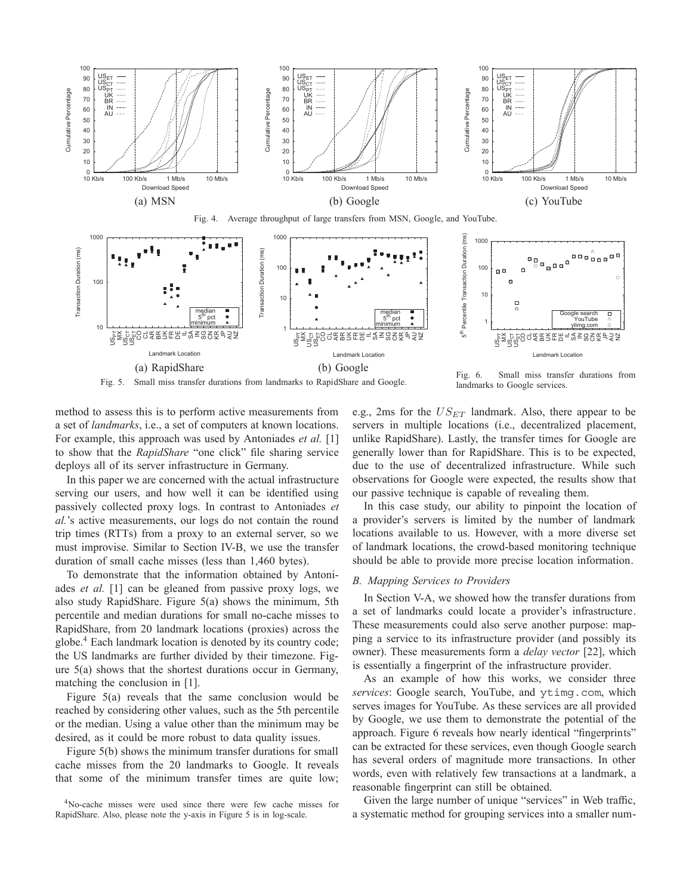

Fig. 5. Small miss transfer durations from landmarks to RapidShare and Google.

Fig. 6. Small miss transfer durations from landmarks to Google services.

method to assess this is to perform active measurements from a set of *landmarks*, i.e., a set of computers at known locations. For example, this approach was used by Antoniades *et al.* [1] to show that the *RapidShare* "one click" file sharing service deploys all of its server infrastructure in Germany.

In this paper we are concerned with the actual infrastructure serving our users, and how well it can be identified using passively collected proxy logs. In contrast to Antoniades *et al.*'s active measurements, our logs do not contain the round trip times (RTTs) from a proxy to an external server, so we must improvise. Similar to Section IV-B, we use the transfer duration of small cache misses (less than 1,460 bytes).

To demonstrate that the information obtained by Antoniades *et al.* [1] can be gleaned from passive proxy logs, we also study RapidShare. Figure 5(a) shows the minimum, 5th percentile and median durations for small no-cache misses to RapidShare, from 20 landmark locations (proxies) across the globe.<sup>4</sup> Each landmark location is denoted by its country code; the US landmarks are further divided by their timezone. Figure 5(a) shows that the shortest durations occur in Germany, matching the conclusion in [1].

Figure 5(a) reveals that the same conclusion would be reached by considering other values, such as the 5th percentile or the median. Using a value other than the minimum may be desired, as it could be more robust to data quality issues.

Figure 5(b) shows the minimum transfer durations for small cache misses from the 20 landmarks to Google. It reveals that some of the minimum transfer times are quite low; e.g., 2ms for the  $US_{ET}$  landmark. Also, there appear to be servers in multiple locations (i.e., decentralized placement, unlike RapidShare). Lastly, the transfer times for Google are generally lower than for RapidShare. This is to be expected, due to the use of decentralized infrastructure. While such observations for Google were expected, the results show that our passive technique is capable of revealing them.

In this case study, our ability to pinpoint the location of a provider's servers is limited by the number of landmark locations available to us. However, with a more diverse set of landmark locations, the crowd-based monitoring technique should be able to provide more precise location information.

## *B. Mapping Services to Providers*

In Section V-A, we showed how the transfer durations from a set of landmarks could locate a provider's infrastructure. These measurements could also serve another purpose: mapping a service to its infrastructure provider (and possibly its owner). These measurements form a *delay vector* [22], which is essentially a fingerprint of the infrastructure provider.

As an example of how this works, we consider three *services*: Google search, YouTube, and ytimg.com, which serves images for YouTube. As these services are all provided by Google, we use them to demonstrate the potential of the approach. Figure 6 reveals how nearly identical "fingerprints" can be extracted for these services, even though Google search has several orders of magnitude more transactions. In other words, even with relatively few transactions at a landmark, a reasonable fingerprint can still be obtained.

Given the large number of unique "services" in Web traffic, a systematic method for grouping services into a smaller num-

<sup>4</sup>No-cache misses were used since there were few cache misses for RapidShare. Also, please note the y-axis in Figure 5 is in log-scale.